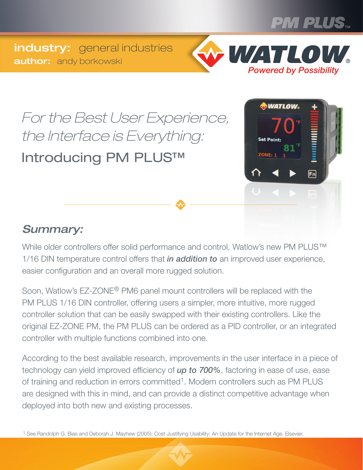

industry: general industries **author:** andy borkowski



*For the Best User Experience, the Interface is Everything:* Introducing PM PLUS™



#### *Summary:*

While older controllers offer solid performance and control, Watlow's new PM PLUS™ 1/16 DIN temperature control offers that *in addition to* an improved user experience, easier configuration and an overall more rugged solution.

Soon, Watlow's EZ-ZONE® PM6 panel mount controllers will be replaced with the PM PLUS 1/16 DIN controller, offering users a simpler, more intuitive, more rugged controller solution that can be easily swapped with their existing controllers. Like the original EZ-ZONE PM, the PM PLUS can be ordered as a PID controller, or an integrated controller with multiple functions combined into one.

According to the best available research, improvements in the user interface in a piece of technology can yield improved efficiency of *up to 700%*, factoring in ease of use, ease of training and reduction in errors committed<sup>1</sup>. Modern controllers such as PM PLUS are designed with this in mind, and can provide a distinct competitive advantage when deployed into both new and existing processes.

1 See Randolph G. Bias and Deborah J. Mayhew (2005): Cost-Justifying Usability: An Update for the Internet Age. Elsevier.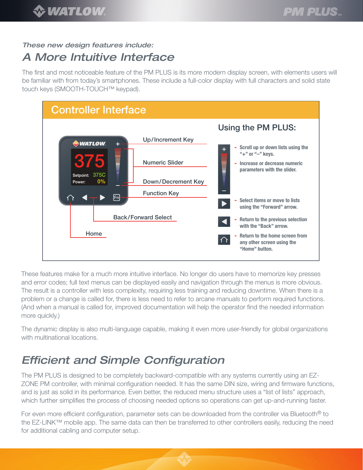#### *These new design features include:*

#### *A More Intuitive Interface*

The first and most noticeable feature of the PM PLUS is its more modern display screen, with elements users will be familiar with from today's smartphones. These include a full-color display with full characters and solid state touch keys (SMOOTH-TOUCH™ keypad).



These features make for a much more intuitive interface. No longer do users have to memorize key presses and error codes; full text menus can be displayed easily and navigation through the menus is more obvious. The result is a controller with less complexity, requiring less training and reducing downtime. When there is a problem or a change is called for, there is less need to refer to arcane manuals to perform required functions. (And when a manual is called for, improved documentation will help the operator find the needed information more quickly.)

The dynamic display is also multi-language capable, making it even more user-friendly for global organizations with multinational locations.

## *Efficient and Simple Configuration*

The PM PLUS is designed to be completely backward-compatible with any systems currently using an EZ-ZONE PM controller, with minimal configuration needed. It has the same DIN size, wiring and firmware functions, and is just as solid in its performance. Even better, the reduced menu structure uses a "list of lists" approach, which further simplifies the process of choosing needed options so operations can get up-and-running faster.

For even more efficient configuration, parameter sets can be downloaded from the controller via Bluetooth<sup>®</sup> to the EZ-LINK™ mobile app. The same data can then be transferred to other controllers easily, reducing the need for additional cabling and computer setup.